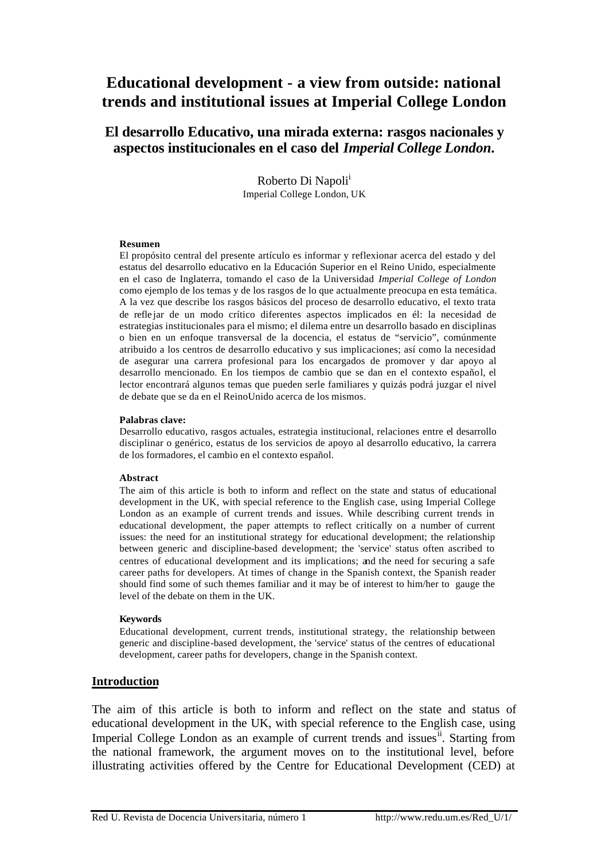# **Educational development - a view from outside: national trends and institutional issues at Imperial College London**

# **El desarrollo Educativo, una mirada externa: rasgos nacionales y aspectos institucionales en el caso del** *Imperial College London***.**

Roberto Di Napoli<sup>1</sup> Imperial College London, UK

#### **Resumen**

El propósito central del presente artículo es informar y reflexionar acerca del estado y del estatus del desarrollo educativo en la Educación Superior en el Reino Unido, especialmente en el caso de Inglaterra, tomando el caso de la Universidad *Imperial College of London* como ejemplo de los temas y de los rasgos de lo que actualmente preocupa en esta temática. A la vez que describe los rasgos básicos del proceso de desarrollo educativo, el texto trata de refle jar de un modo crítico diferentes aspectos implicados en él: la necesidad de estrategias institucionales para el mismo; el dilema entre un desarrollo basado en disciplinas o bien en un enfoque transversal de la docencia, el estatus de "servicio", comúnmente atribuido a los centros de desarrollo educativo y sus implicaciones; así como la necesidad de asegurar una carrera profesional para los encargados de promover y dar apoyo al desarrollo mencionado. En los tiempos de cambio que se dan en el contexto español, el lector encontrará algunos temas que pueden serle familiares y quizás podrá juzgar el nivel de debate que se da en el ReinoUnido acerca de los mismos.

#### **Palabras clave:**

Desarrollo educativo, rasgos actuales, estrategia institucional, relaciones entre el desarrollo disciplinar o genérico, estatus de los servicios de apoyo al desarrollo educativo, la carrera de los formadores, el cambio en el contexto español.

#### **Abstract**

The aim of this article is both to inform and reflect on the state and status of educational development in the UK, with special reference to the English case, using Imperial College London as an example of current trends and issues. While describing current trends in educational development, the paper attempts to reflect critically on a number of current issues: the need for an institutional strategy for educational development; the relationship between generic and discipline-based development; the 'service' status often ascribed to centres of educational development and its implications; and the need for securing a safe career paths for developers. At times of change in the Spanish context, the Spanish reader should find some of such themes familiar and it may be of interest to him/her to gauge the level of the debate on them in the UK.

#### **Keywords**

Educational development, current trends, institutional strategy, the relationship between generic and discipline-based development, the 'service' status of the centres of educational development, career paths for developers, change in the Spanish context.

### **Introduction**

The aim of this article is both to inform and reflect on the state and status of educational development in the UK, with special reference to the English case, using Imperial College London as an example of current trends and issues<sup>ii</sup>. Starting from the national framework, the argument moves on to the institutional level, before illustrating activities offered by the Centre for Educational Development (CED) at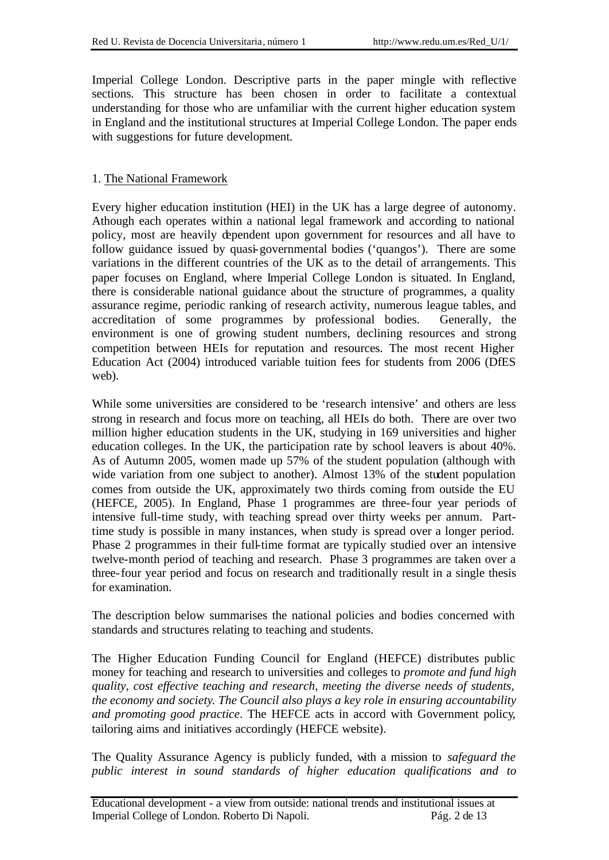Imperial College London. Descriptive parts in the paper mingle with reflective sections. This structure has been chosen in order to facilitate a contextual understanding for those who are unfamiliar with the current higher education system in England and the institutional structures at Imperial College London. The paper ends with suggestions for future development.

# 1. The National Framework

Every higher education institution (HEI) in the UK has a large degree of autonomy. Athough each operates within a national legal framework and according to national policy, most are heavily dependent upon government for resources and all have to follow guidance issued by quasi-governmental bodies ('quangos'). There are some variations in the different countries of the UK as to the detail of arrangements. This paper focuses on England, where Imperial College London is situated. In England, there is considerable national guidance about the structure of programmes, a quality assurance regime, periodic ranking of research activity, numerous league tables, and accreditation of some programmes by professional bodies. Generally, the environment is one of growing student numbers, declining resources and strong competition between HEIs for reputation and resources. The most recent Higher Education Act (2004) introduced variable tuition fees for students from 2006 (DfES web).

While some universities are considered to be 'research intensive' and others are less strong in research and focus more on teaching, all HEIs do both. There are over two million higher education students in the UK, studying in 169 universities and higher education colleges. In the UK, the participation rate by school leavers is about 40%. As of Autumn 2005, women made up 57% of the student population (although with wide variation from one subject to another). Almost 13% of the student population comes from outside the UK, approximately two thirds coming from outside the EU (HEFCE, 2005). In England, Phase 1 programmes are three-four year periods of intensive full-time study, with teaching spread over thirty weeks per annum. Parttime study is possible in many instances, when study is spread over a longer period. Phase 2 programmes in their full-time format are typically studied over an intensive twelve-month period of teaching and research. Phase 3 programmes are taken over a three-four year period and focus on research and traditionally result in a single thesis for examination.

The description below summarises the national policies and bodies concerned with standards and structures relating to teaching and students.

The Higher Education Funding Council for England (HEFCE) distributes public money for teaching and research to universities and colleges to *promote and fund high quality, cost effective teaching and research, meeting the diverse needs of students, the economy and society. The Council also plays a key role in ensuring accountability and promoting good practice*. The HEFCE acts in accord with Government policy, tailoring aims and initiatives accordingly (HEFCE website).

The Quality Assurance Agency is publicly funded, with a mission to *safeguard the public interest in sound standards of higher education qualifications and to*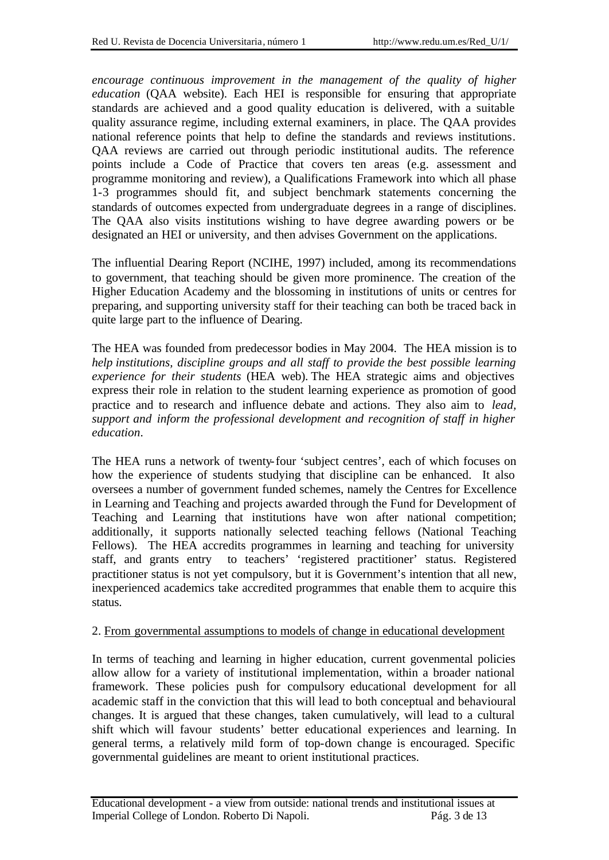*encourage continuous improvement in the management of the quality of higher education* (QAA website). Each HEI is responsible for ensuring that appropriate standards are achieved and a good quality education is delivered, with a suitable quality assurance regime, including external examiners, in place. The QAA provides national reference points that help to define the standards and reviews institutions. QAA reviews are carried out through periodic institutional audits. The reference points include a Code of Practice that covers ten areas (e.g. assessment and programme monitoring and review), a Qualifications Framework into which all phase 1-3 programmes should fit, and subject benchmark statements concerning the standards of outcomes expected from undergraduate degrees in a range of disciplines. The QAA also visits institutions wishing to have degree awarding powers or be designated an HEI or university, and then advises Government on the applications.

The influential Dearing Report (NCIHE, 1997) included, among its recommendations to government, that teaching should be given more prominence. The creation of the Higher Education Academy and the blossoming in institutions of units or centres for preparing, and supporting university staff for their teaching can both be traced back in quite large part to the influence of Dearing.

The HEA was founded from predecessor bodies in May 2004. The HEA mission is to *help institutions, discipline groups and all staff to provide the best possible learning experience for their students* (HEA web). The HEA strategic aims and objectives express their role in relation to the student learning experience as promotion of good practice and to research and influence debate and actions. They also aim to *lead, support and inform the professional development and recognition of staff in higher education*.

The HEA runs a network of twenty-four 'subject centres', each of which focuses on how the experience of students studying that discipline can be enhanced. It also oversees a number of government funded schemes, namely the Centres for Excellence in Learning and Teaching and projects awarded through the Fund for Development of Teaching and Learning that institutions have won after national competition; additionally, it supports nationally selected teaching fellows (National Teaching Fellows). The HEA accredits programmes in learning and teaching for university staff, and grants entry to teachers' 'registered practitioner' status. Registered practitioner status is not yet compulsory, but it is Government's intention that all new, inexperienced academics take accredited programmes that enable them to acquire this status.

## 2. From governmental assumptions to models of change in educational development

In terms of teaching and learning in higher education, current govenmental policies allow allow for a variety of institutional implementation, within a broader national framework. These policies push for compulsory educational development for all academic staff in the conviction that this will lead to both conceptual and behavioural changes. It is argued that these changes, taken cumulatively, will lead to a cultural shift which will favour students' better educational experiences and learning. In general terms, a relatively mild form of top-down change is encouraged. Specific governmental guidelines are meant to orient institutional practices.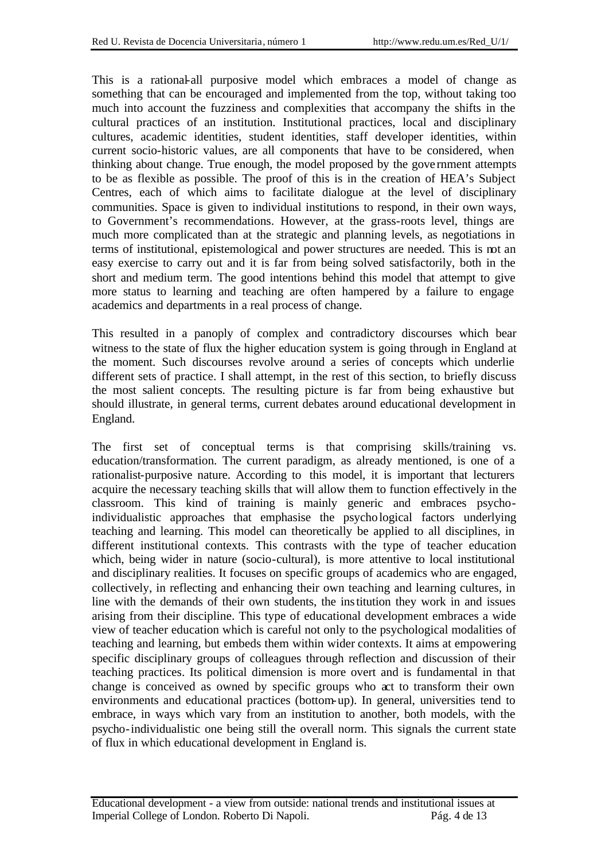This is a rational-all purposive model which embraces a model of change as something that can be encouraged and implemented from the top, without taking too much into account the fuzziness and complexities that accompany the shifts in the cultural practices of an institution. Institutional practices, local and disciplinary cultures, academic identities, student identities, staff developer identities, within current socio-historic values, are all components that have to be considered, when thinking about change. True enough, the model proposed by the gove rnment attempts to be as flexible as possible. The proof of this is in the creation of HEA's Subject Centres, each of which aims to facilitate dialogue at the level of disciplinary communities. Space is given to individual institutions to respond, in their own ways, to Government's recommendations. However, at the grass-roots level, things are much more complicated than at the strategic and planning levels, as negotiations in terms of institutional, epistemological and power structures are needed. This is not an easy exercise to carry out and it is far from being solved satisfactorily, both in the short and medium term. The good intentions behind this model that attempt to give more status to learning and teaching are often hampered by a failure to engage academics and departments in a real process of change.

This resulted in a panoply of complex and contradictory discourses which bear witness to the state of flux the higher education system is going through in England at the moment. Such discourses revolve around a series of concepts which underlie different sets of practice. I shall attempt, in the rest of this section, to briefly discuss the most salient concepts. The resulting picture is far from being exhaustive but should illustrate, in general terms, current debates around educational development in England.

The first set of conceptual terms is that comprising skills/training vs. education/transformation. The current paradigm, as already mentioned, is one of a rationalist-purposive nature. According to this model, it is important that lecturers acquire the necessary teaching skills that will allow them to function effectively in the classroom. This kind of training is mainly generic and embraces psychoindividualistic approaches that emphasise the psychological factors underlying teaching and learning. This model can theoretically be applied to all disciplines, in different institutional contexts. This contrasts with the type of teacher education which, being wider in nature (socio-cultural), is more attentive to local institutional and disciplinary realities. It focuses on specific groups of academics who are engaged, collectively, in reflecting and enhancing their own teaching and learning cultures, in line with the demands of their own students, the institution they work in and issues arising from their discipline. This type of educational development embraces a wide view of teacher education which is careful not only to the psychological modalities of teaching and learning, but embeds them within wider contexts. It aims at empowering specific disciplinary groups of colleagues through reflection and discussion of their teaching practices. Its political dimension is more overt and is fundamental in that change is conceived as owned by specific groups who act to transform their own environments and educational practices (bottom-up). In general, universities tend to embrace, in ways which vary from an institution to another, both models, with the psycho-individualistic one being still the overall norm. This signals the current state of flux in which educational development in England is.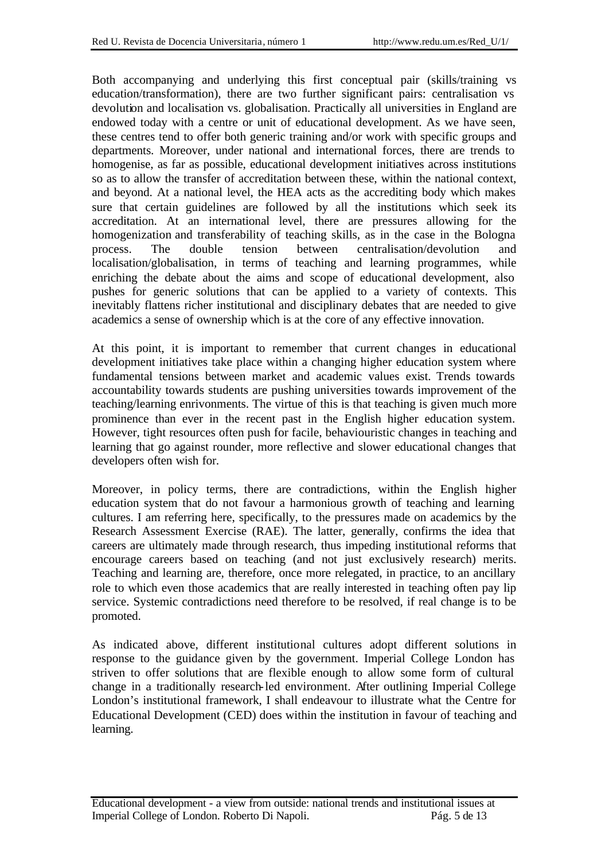Both accompanying and underlying this first conceptual pair (skills/training vs education/transformation), there are two further significant pairs: centralisation vs devolution and localisation vs. globalisation. Practically all universities in England are endowed today with a centre or unit of educational development. As we have seen, these centres tend to offer both generic training and/or work with specific groups and departments. Moreover, under national and international forces, there are trends to homogenise, as far as possible, educational development initiatives across institutions so as to allow the transfer of accreditation between these, within the national context, and beyond. At a national level, the HEA acts as the accrediting body which makes sure that certain guidelines are followed by all the institutions which seek its accreditation. At an international level, there are pressures allowing for the homogenization and transferability of teaching skills, as in the case in the Bologna process. The double tension between centralisation/devolution and localisation/globalisation, in terms of teaching and learning programmes, while enriching the debate about the aims and scope of educational development, also pushes for generic solutions that can be applied to a variety of contexts. This inevitably flattens richer institutional and disciplinary debates that are needed to give academics a sense of ownership which is at the core of any effective innovation.

At this point, it is important to remember that current changes in educational development initiatives take place within a changing higher education system where fundamental tensions between market and academic values exist. Trends towards accountability towards students are pushing universities towards improvement of the teaching/learning enrivonments. The virtue of this is that teaching is given much more prominence than ever in the recent past in the English higher education system. However, tight resources often push for facile, behaviouristic changes in teaching and learning that go against rounder, more reflective and slower educational changes that developers often wish for.

Moreover, in policy terms, there are contradictions, within the English higher education system that do not favour a harmonious growth of teaching and learning cultures. I am referring here, specifically, to the pressures made on academics by the Research Assessment Exercise (RAE). The latter, generally, confirms the idea that careers are ultimately made through research, thus impeding institutional reforms that encourage careers based on teaching (and not just exclusively research) merits. Teaching and learning are, therefore, once more relegated, in practice, to an ancillary role to which even those academics that are really interested in teaching often pay lip service. Systemic contradictions need therefore to be resolved, if real change is to be promoted.

As indicated above, different institutional cultures adopt different solutions in response to the guidance given by the government. Imperial College London has striven to offer solutions that are flexible enough to allow some form of cultural change in a traditionally research-led environment. After outlining Imperial College London's institutional framework, I shall endeavour to illustrate what the Centre for Educational Development (CED) does within the institution in favour of teaching and learning.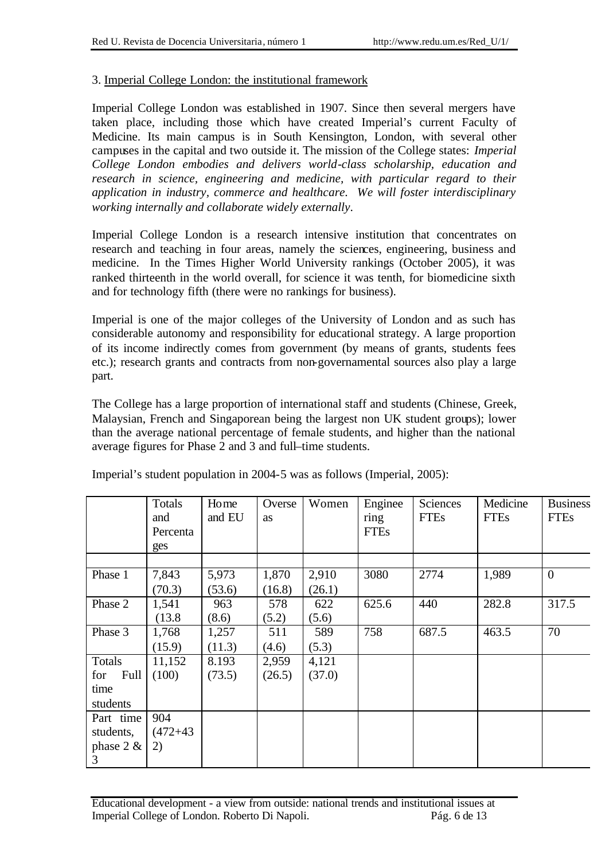## 3. Imperial College London: the institutional framework

Imperial College London was established in 1907. Since then several mergers have taken place, including those which have created Imperial's current Faculty of Medicine. Its main campus is in South Kensington, London, with several other campuses in the capital and two outside it. The mission of the College states: *Imperial College London embodies and delivers world-class scholarship, education and research in science, engineering and medicine, with particular regard to their application in industry, commerce and healthcare. We will foster interdisciplinary working internally and collaborate widely externally*.

Imperial College London is a research intensive institution that concentrates on research and teaching in four areas, namely the sciences, engineering, business and medicine. In the Times Higher World University rankings (October 2005), it was ranked thirteenth in the world overall, for science it was tenth, for biomedicine sixth and for technology fifth (there were no rankings for business).

Imperial is one of the major colleges of the University of London and as such has considerable autonomy and responsibility for educational strategy. A large proportion of its income indirectly comes from government (by means of grants, students fees etc.); research grants and contracts from non-governamental sources also play a large part.

The College has a large proportion of international staff and students (Chinese, Greek, Malaysian, French and Singaporean being the largest non UK student groups); lower than the average national percentage of female students, and higher than the national average figures for Phase 2 and 3 and full–time students.

|              | Totals<br>and | Home<br>and EU | Overse<br>as | Women  | Enginee<br>ring | Sciences<br><b>FTEs</b> | Medicine<br><b>FTEs</b> | <b>Business</b><br><b>FTEs</b> |
|--------------|---------------|----------------|--------------|--------|-----------------|-------------------------|-------------------------|--------------------------------|
|              | Percenta      |                |              |        | <b>FTEs</b>     |                         |                         |                                |
|              | ges           |                |              |        |                 |                         |                         |                                |
|              |               |                |              |        |                 |                         |                         |                                |
| Phase 1      | 7,843         | 5,973          | 1,870        | 2,910  | 3080            | 2774                    | 1,989                   | $\overline{0}$                 |
|              | (70.3)        | (53.6)         | (16.8)       | (26.1) |                 |                         |                         |                                |
| Phase 2      | 1,541         | 963            | 578          | 622    | 625.6           | 440                     | 282.8                   | 317.5                          |
|              | (13.8)        | (8.6)          | (5.2)        | (5.6)  |                 |                         |                         |                                |
| Phase 3      | 1,768         | 1,257          | 511          | 589    | 758             | 687.5                   | 463.5                   | 70                             |
|              | (15.9)        | (11.3)         | (4.6)        | (5.3)  |                 |                         |                         |                                |
| Totals       | 11,152        | 8.193          | 2,959        | 4,121  |                 |                         |                         |                                |
| Full<br>for  | (100)         | (73.5)         | (26.5)       | (37.0) |                 |                         |                         |                                |
| time         |               |                |              |        |                 |                         |                         |                                |
| students     |               |                |              |        |                 |                         |                         |                                |
| Part time    | 904           |                |              |        |                 |                         |                         |                                |
| students,    | $(472+43)$    |                |              |        |                 |                         |                         |                                |
| phase $2 \&$ | 2)            |                |              |        |                 |                         |                         |                                |
| 3            |               |                |              |        |                 |                         |                         |                                |

Imperial's student population in 2004-5 was as follows (Imperial, 2005):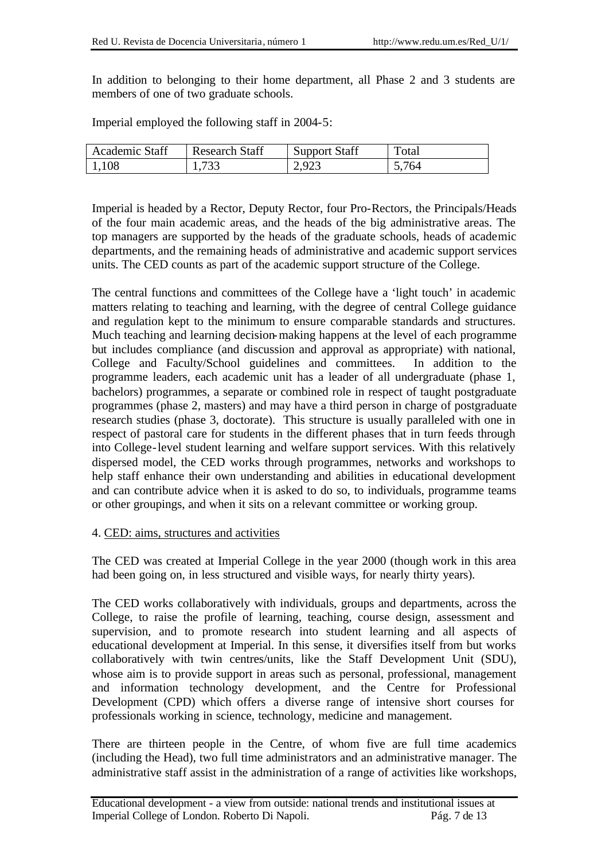In addition to belonging to their home department, all Phase 2 and 3 students are members of one of two graduate schools.

Imperial employed the following staff in 2004-5:

| <b>Academic Staff</b> | <b>Research Staff</b> | <b>Support Staff</b> | Total |
|-----------------------|-----------------------|----------------------|-------|
| 1,108                 | 1,733                 | 2,923                | 5,764 |

Imperial is headed by a Rector, Deputy Rector, four Pro-Rectors, the Principals/Heads of the four main academic areas, and the heads of the big administrative areas. The top managers are supported by the heads of the graduate schools, heads of academic departments, and the remaining heads of administrative and academic support services units. The CED counts as part of the academic support structure of the College.

The central functions and committees of the College have a 'light touch' in academic matters relating to teaching and learning, with the degree of central College guidance and regulation kept to the minimum to ensure comparable standards and structures. Much teaching and learning decision-making happens at the level of each programme but includes compliance (and discussion and approval as appropriate) with national, College and Faculty/School guidelines and committees. In addition to the programme leaders, each academic unit has a leader of all undergraduate (phase 1, bachelors) programmes, a separate or combined role in respect of taught postgraduate programmes (phase 2, masters) and may have a third person in charge of postgraduate research studies (phase 3, doctorate). This structure is usually paralleled with one in respect of pastoral care for students in the different phases that in turn feeds through into College-level student learning and welfare support services. With this relatively dispersed model, the CED works through programmes, networks and workshops to help staff enhance their own understanding and abilities in educational development and can contribute advice when it is asked to do so, to individuals, programme teams or other groupings, and when it sits on a relevant committee or working group.

### 4. CED: aims, structures and activities

The CED was created at Imperial College in the year 2000 (though work in this area had been going on, in less structured and visible ways, for nearly thirty years).

The CED works collaboratively with individuals, groups and departments, across the College, to raise the profile of learning, teaching, course design, assessment and supervision, and to promote research into student learning and all aspects of educational development at Imperial. In this sense, it diversifies itself from but works collaboratively with twin centres/units, like the Staff Development Unit (SDU), whose aim is to provide support in areas such as personal, professional, management and information technology development, and the Centre for Professional Development (CPD) which offers a diverse range of intensive short courses for professionals working in science, technology, medicine and management.

There are thirteen people in the Centre, of whom five are full time academics (including the Head), two full time administrators and an administrative manager. The administrative staff assist in the administration of a range of activities like workshops,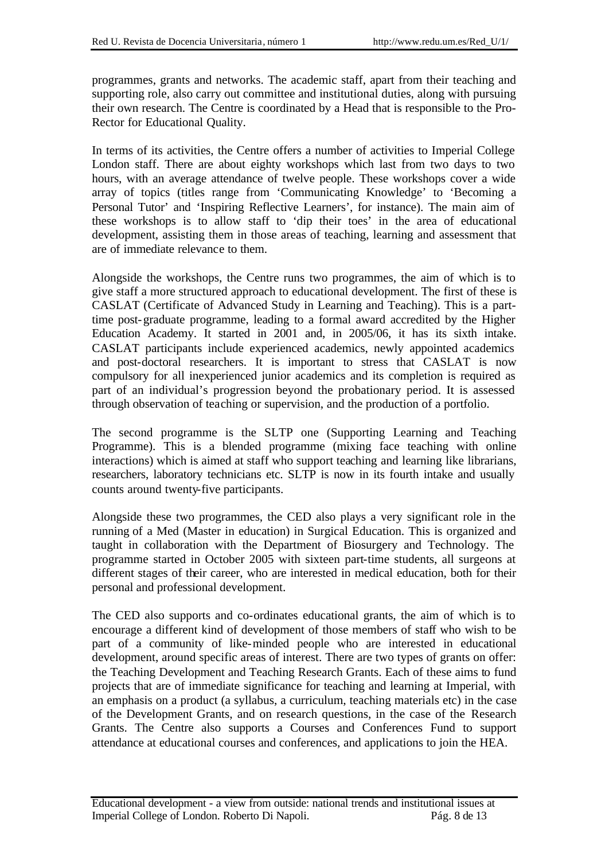programmes, grants and networks. The academic staff, apart from their teaching and supporting role, also carry out committee and institutional duties, along with pursuing their own research. The Centre is coordinated by a Head that is responsible to the Pro-Rector for Educational Quality.

In terms of its activities, the Centre offers a number of activities to Imperial College London staff. There are about eighty workshops which last from two days to two hours, with an average attendance of twelve people. These workshops cover a wide array of topics (titles range from 'Communicating Knowledge' to 'Becoming a Personal Tutor' and 'Inspiring Reflective Learners', for instance). The main aim of these workshops is to allow staff to 'dip their toes' in the area of educational development, assisting them in those areas of teaching, learning and assessment that are of immediate relevance to them.

Alongside the workshops, the Centre runs two programmes, the aim of which is to give staff a more structured approach to educational development. The first of these is CASLAT (Certificate of Advanced Study in Learning and Teaching). This is a parttime post-graduate programme, leading to a formal award accredited by the Higher Education Academy. It started in 2001 and, in 2005/06, it has its sixth intake. CASLAT participants include experienced academics, newly appointed academics and post-doctoral researchers. It is important to stress that CASLAT is now compulsory for all inexperienced junior academics and its completion is required as part of an individual's progression beyond the probationary period. It is assessed through observation of teaching or supervision, and the production of a portfolio.

The second programme is the SLTP one (Supporting Learning and Teaching Programme). This is a blended programme (mixing face teaching with online interactions) which is aimed at staff who support teaching and learning like librarians, researchers, laboratory technicians etc. SLTP is now in its fourth intake and usually counts around twenty-five participants.

Alongside these two programmes, the CED also plays a very significant role in the running of a Med (Master in education) in Surgical Education. This is organized and taught in collaboration with the Department of Biosurgery and Technology. The programme started in October 2005 with sixteen part-time students, all surgeons at different stages of their career, who are interested in medical education, both for their personal and professional development.

The CED also supports and co-ordinates educational grants, the aim of which is to encourage a different kind of development of those members of staff who wish to be part of a community of like-minded people who are interested in educational development, around specific areas of interest. There are two types of grants on offer: the Teaching Development and Teaching Research Grants. Each of these aims to fund projects that are of immediate significance for teaching and learning at Imperial, with an emphasis on a product (a syllabus, a curriculum, teaching materials etc) in the case of the Development Grants, and on research questions, in the case of the Research Grants. The Centre also supports a Courses and Conferences Fund to support attendance at educational courses and conferences, and applications to join the HEA.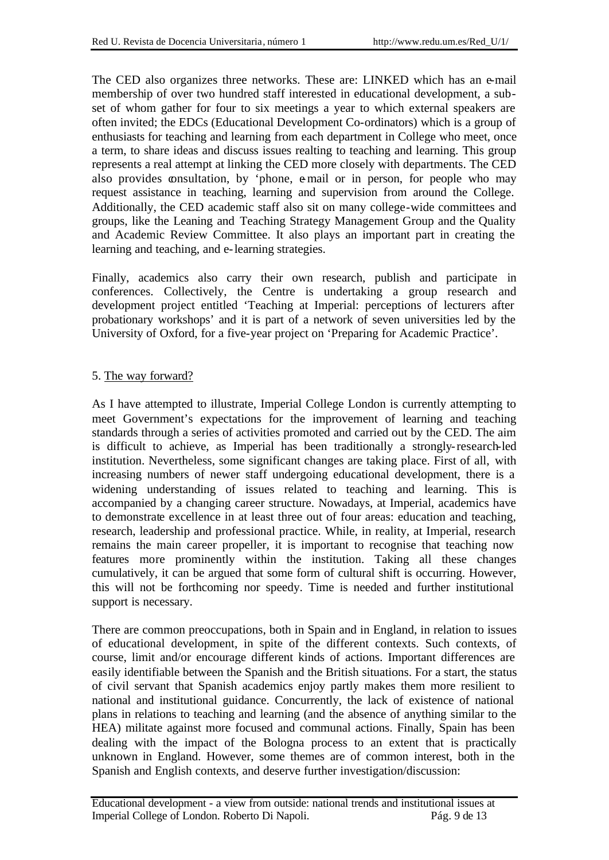The CED also organizes three networks. These are: LINKED which has an e-mail membership of over two hundred staff interested in educational development, a subset of whom gather for four to six meetings a year to which external speakers are often invited; the EDCs (Educational Development Co-ordinators) which is a group of enthusiasts for teaching and learning from each department in College who meet, once a term, to share ideas and discuss issues realting to teaching and learning. This group represents a real attempt at linking the CED more closely with departments. The CED also provides consultation, by 'phone, e-mail or in person, for people who may request assistance in teaching, learning and supervision from around the College. Additionally, the CED academic staff also sit on many college-wide committees and groups, like the Leaning and Teaching Strategy Management Group and the Quality and Academic Review Committee. It also plays an important part in creating the learning and teaching, and e-learning strategies.

Finally, academics also carry their own research, publish and participate in conferences. Collectively, the Centre is undertaking a group research and development project entitled 'Teaching at Imperial: perceptions of lecturers after probationary workshops' and it is part of a network of seven universities led by the University of Oxford, for a five-year project on 'Preparing for Academic Practice'.

## 5. The way forward?

As I have attempted to illustrate, Imperial College London is currently attempting to meet Government's expectations for the improvement of learning and teaching standards through a series of activities promoted and carried out by the CED. The aim is difficult to achieve, as Imperial has been traditionally a strongly-research-led institution. Nevertheless, some significant changes are taking place. First of all, with increasing numbers of newer staff undergoing educational development, there is a widening understanding of issues related to teaching and learning. This is accompanied by a changing career structure. Nowadays, at Imperial, academics have to demonstrate excellence in at least three out of four areas: education and teaching, research, leadership and professional practice. While, in reality, at Imperial, research remains the main career propeller, it is important to recognise that teaching now features more prominently within the institution. Taking all these changes cumulatively, it can be argued that some form of cultural shift is occurring. However, this will not be forthcoming nor speedy. Time is needed and further institutional support is necessary.

There are common preoccupations, both in Spain and in England, in relation to issues of educational development, in spite of the different contexts. Such contexts, of course, limit and/or encourage different kinds of actions. Important differences are easily identifiable between the Spanish and the British situations. For a start, the status of civil servant that Spanish academics enjoy partly makes them more resilient to national and institutional guidance. Concurrently, the lack of existence of national plans in relations to teaching and learning (and the absence of anything similar to the HEA) militate against more focused and communal actions. Finally, Spain has been dealing with the impact of the Bologna process to an extent that is practically unknown in England. However, some themes are of common interest, both in the Spanish and English contexts, and deserve further investigation/discussion: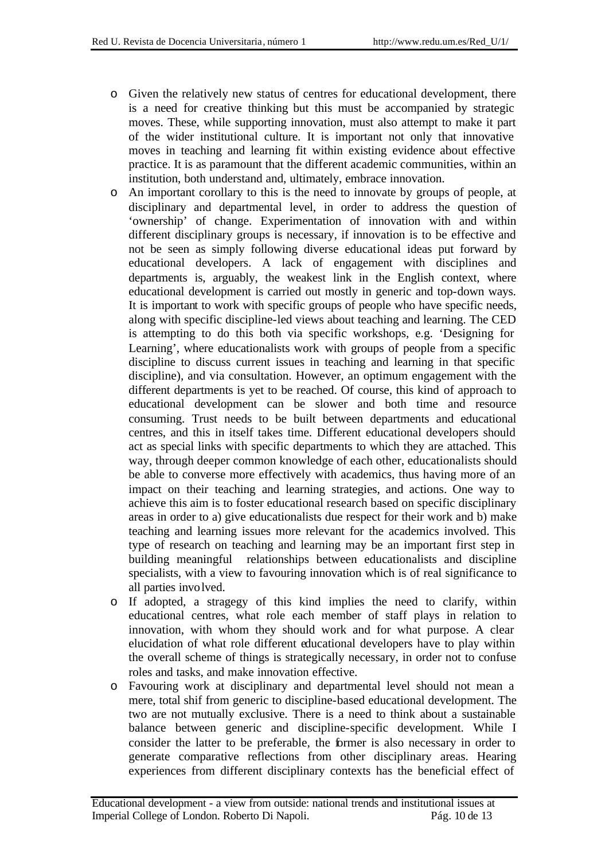- o Given the relatively new status of centres for educational development, there is a need for creative thinking but this must be accompanied by strategic moves. These, while supporting innovation, must also attempt to make it part of the wider institutional culture. It is important not only that innovative moves in teaching and learning fit within existing evidence about effective practice. It is as paramount that the different academic communities, within an institution, both understand and, ultimately, embrace innovation.
- o An important corollary to this is the need to innovate by groups of people, at disciplinary and departmental level, in order to address the question of 'ownership' of change. Experimentation of innovation with and within different disciplinary groups is necessary, if innovation is to be effective and not be seen as simply following diverse educational ideas put forward by educational developers. A lack of engagement with disciplines and departments is, arguably, the weakest link in the English context, where educational development is carried out mostly in generic and top-down ways. It is important to work with specific groups of people who have specific needs, along with specific discipline-led views about teaching and learning. The CED is attempting to do this both via specific workshops, e.g. 'Designing for Learning', where educationalists work with groups of people from a specific discipline to discuss current issues in teaching and learning in that specific discipline), and via consultation. However, an optimum engagement with the different departments is yet to be reached. Of course, this kind of approach to educational development can be slower and both time and resource consuming. Trust needs to be built between departments and educational centres, and this in itself takes time. Different educational developers should act as special links with specific departments to which they are attached. This way, through deeper common knowledge of each other, educationalists should be able to converse more effectively with academics, thus having more of an impact on their teaching and learning strategies, and actions. One way to achieve this aim is to foster educational research based on specific disciplinary areas in order to a) give educationalists due respect for their work and b) make teaching and learning issues more relevant for the academics involved. This type of research on teaching and learning may be an important first step in building meaningful relationships between educationalists and discipline specialists, with a view to favouring innovation which is of real significance to all parties involved.
- o If adopted, a stragegy of this kind implies the need to clarify, within educational centres, what role each member of staff plays in relation to innovation, with whom they should work and for what purpose. A clear elucidation of what role different educational developers have to play within the overall scheme of things is strategically necessary, in order not to confuse roles and tasks, and make innovation effective.
- o Favouring work at disciplinary and departmental level should not mean a mere, total shif from generic to discipline-based educational development. The two are not mutually exclusive. There is a need to think about a sustainable balance between generic and discipline-specific development. While I consider the latter to be preferable, the former is also necessary in order to generate comparative reflections from other disciplinary areas. Hearing experiences from different disciplinary contexts has the beneficial effect of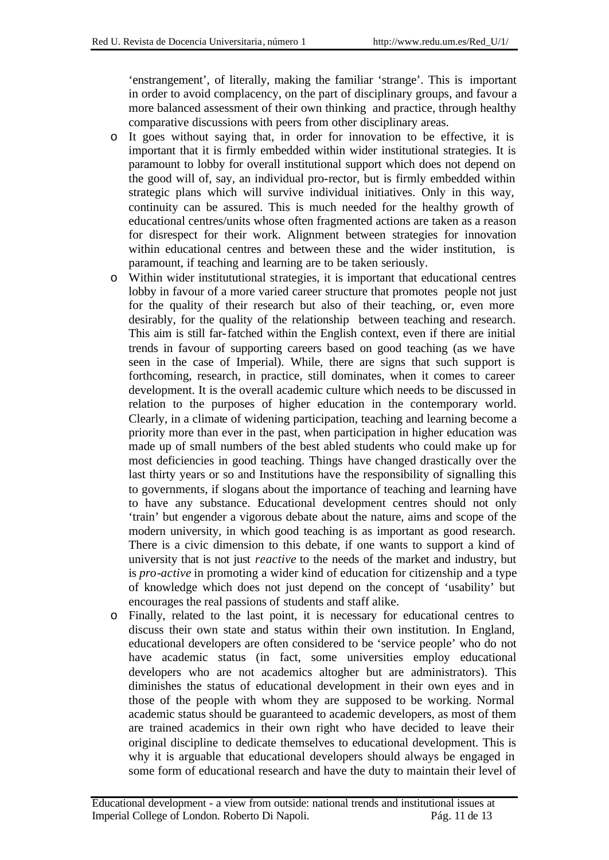'enstrangement', of literally, making the familiar 'strange'. This is important in order to avoid complacency, on the part of disciplinary groups, and favour a more balanced assessment of their own thinking and practice, through healthy comparative discussions with peers from other disciplinary areas.

- o It goes without saying that, in order for innovation to be effective, it is important that it is firmly embedded within wider institutional strategies. It is paramount to lobby for overall institutional support which does not depend on the good will of, say, an individual pro-rector, but is firmly embedded within strategic plans which will survive individual initiatives. Only in this way, continuity can be assured. This is much needed for the healthy growth of educational centres/units whose often fragmented actions are taken as a reason for disrespect for their work. Alignment between strategies for innovation within educational centres and between these and the wider institution, is paramount, if teaching and learning are to be taken seriously.
- o Within wider institututional strategies, it is important that educational centres lobby in favour of a more varied career structure that promotes people not just for the quality of their research but also of their teaching, or, even more desirably, for the quality of the relationship between teaching and research. This aim is still far-fatched within the English context, even if there are initial trends in favour of supporting careers based on good teaching (as we have seen in the case of Imperial). While, there are signs that such support is forthcoming, research, in practice, still dominates, when it comes to career development. It is the overall academic culture which needs to be discussed in relation to the purposes of higher education in the contemporary world. Clearly, in a climate of widening participation, teaching and learning become a priority more than ever in the past, when participation in higher education was made up of small numbers of the best abled students who could make up for most deficiencies in good teaching. Things have changed drastically over the last thirty years or so and Institutions have the responsibility of signalling this to governments, if slogans about the importance of teaching and learning have to have any substance. Educational development centres should not only 'train' but engender a vigorous debate about the nature, aims and scope of the modern university, in which good teaching is as important as good research. There is a civic dimension to this debate, if one wants to support a kind of university that is not just *reactive* to the needs of the market and industry, but is *pro-active* in promoting a wider kind of education for citizenship and a type of knowledge which does not just depend on the concept of 'usability' but encourages the real passions of students and staff alike.
- o Finally, related to the last point, it is necessary for educational centres to discuss their own state and status within their own institution. In England, educational developers are often considered to be 'service people' who do not have academic status (in fact, some universities employ educational developers who are not academics altogher but are administrators). This diminishes the status of educational development in their own eyes and in those of the people with whom they are supposed to be working. Normal academic status should be guaranteed to academic developers, as most of them are trained academics in their own right who have decided to leave their original discipline to dedicate themselves to educational development. This is why it is arguable that educational developers should always be engaged in some form of educational research and have the duty to maintain their level of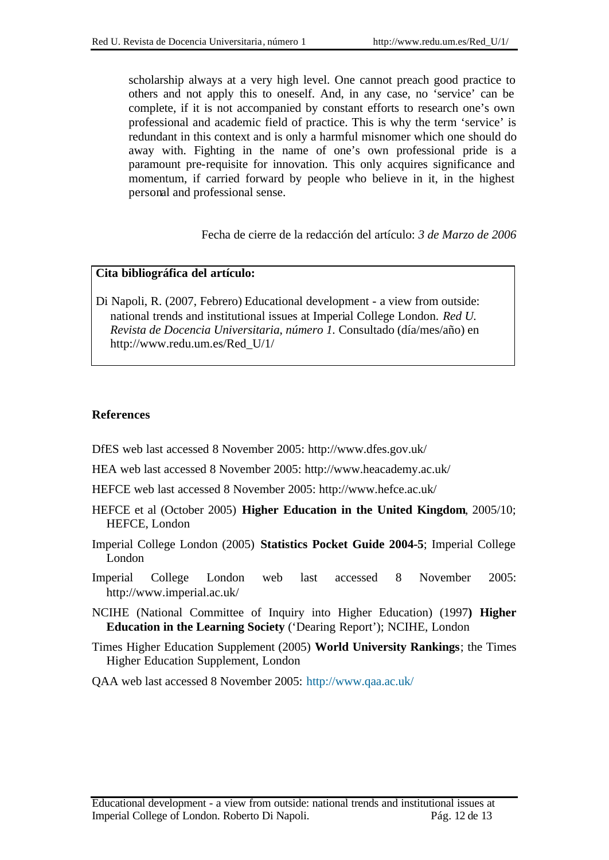scholarship always at a very high level. One cannot preach good practice to others and not apply this to oneself. And, in any case, no 'service' can be complete, if it is not accompanied by constant efforts to research one's own professional and academic field of practice. This is why the term 'service' is redundant in this context and is only a harmful misnomer which one should do away with. Fighting in the name of one's own professional pride is a paramount pre-requisite for innovation. This only acquires significance and momentum, if carried forward by people who believe in it, in the highest personal and professional sense.

Fecha de cierre de la redacción del artículo: *3 de Marzo de 2006*

#### **Cita bibliográfica del artículo:**

Di Napoli, R. (2007, Febrero) Educational development - a view from outside: national trends and institutional issues at Imperial College London. *Red U. Revista de Docencia Universitaria*, *número 1.* Consultado (día/mes/año) en http://www.redu.um.es/Red\_U/1/

#### **References**

DfES web last accessed 8 November 2005: http://www.dfes.gov.uk/

HEA web last accessed 8 November 2005: http://www.heacademy.ac.uk/

HEFCE web last accessed 8 November 2005: http://www.hefce.ac.uk/

HEFCE et al (October 2005) **Higher Education in the United Kingdom**, 2005/10; HEFCE, London

- Imperial College London (2005) **Statistics Pocket Guide 2004-5**; Imperial College London
- Imperial College London web last accessed 8 November 2005: http://www.imperial.ac.uk/
- NCIHE (National Committee of Inquiry into Higher Education) (1997**) Higher Education in the Learning Society** ('Dearing Report'); NCIHE, London
- Times Higher Education Supplement (2005) **World University Rankings**; the Times Higher Education Supplement, London

QAA web last accessed 8 November 2005: http://www.qaa.ac.uk/